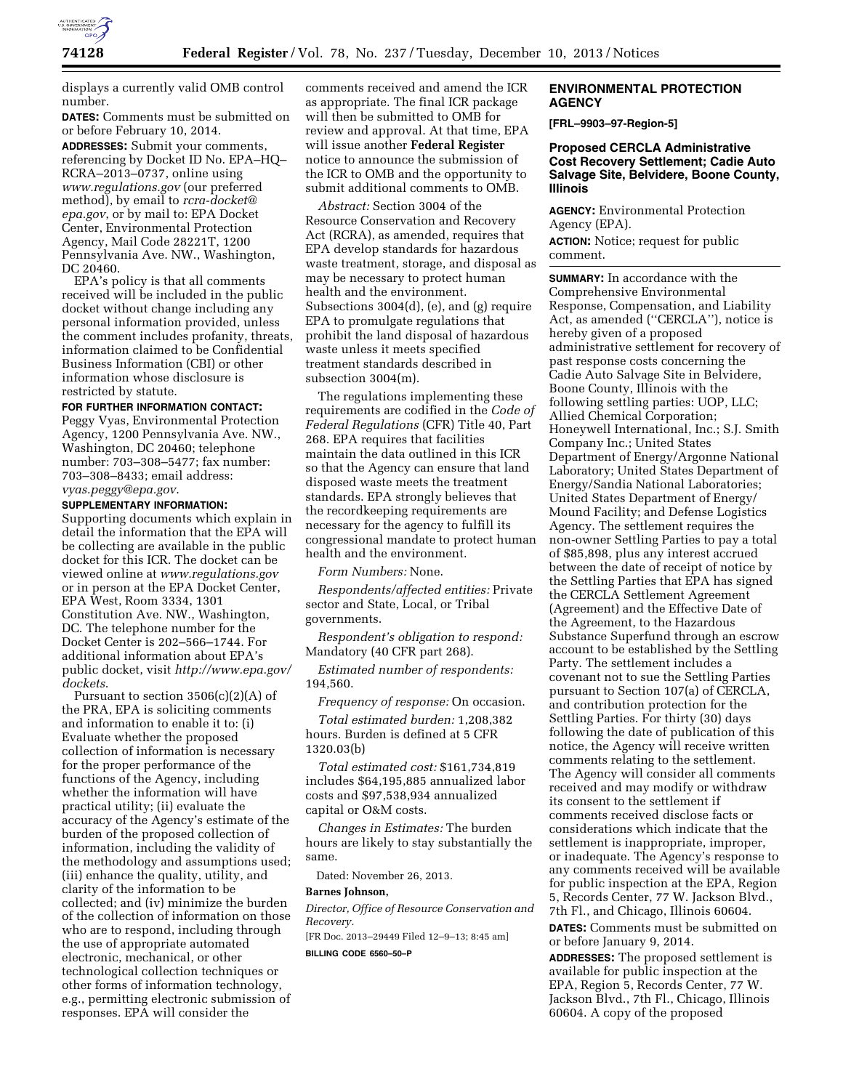

displays a currently valid OMB control number.

**DATES:** Comments must be submitted on or before February 10, 2014.

**ADDRESSES:** Submit your comments, referencing by Docket ID No. EPA–HQ– RCRA–2013–0737, online using *[www.regulations.gov](http://www.regulations.gov)* (our preferred method), by email to *[rcra-docket@](mailto:rcra-docket@epa.gov) [epa.gov](mailto:rcra-docket@epa.gov)*, or by mail to: EPA Docket Center, Environmental Protection Agency, Mail Code 28221T, 1200 Pennsylvania Ave. NW., Washington, DC 20460.

EPA's policy is that all comments received will be included in the public docket without change including any personal information provided, unless the comment includes profanity, threats, information claimed to be Confidential Business Information (CBI) or other information whose disclosure is restricted by statute.

# **FOR FURTHER INFORMATION CONTACT:**

Peggy Vyas, Environmental Protection Agency, 1200 Pennsylvania Ave. NW., Washington, DC 20460; telephone number: 703–308–5477; fax number: 703–308–8433; email address: *[vyas.peggy@epa.gov](mailto:vyas.peggy@epa.gov)*.

### **SUPPLEMENTARY INFORMATION:**

Supporting documents which explain in detail the information that the EPA will be collecting are available in the public docket for this ICR. The docket can be viewed online at *[www.regulations.gov](http://www.regulations.gov)*  or in person at the EPA Docket Center, EPA West, Room 3334, 1301 Constitution Ave. NW., Washington, DC. The telephone number for the Docket Center is 202–566–1744. For additional information about EPA's public docket, visit *[http://www.epa.gov/](http://www.epa.gov/dockets)  [dockets](http://www.epa.gov/dockets)*.

Pursuant to section  $3506(c)(2)(A)$  of the PRA, EPA is soliciting comments and information to enable it to: (i) Evaluate whether the proposed collection of information is necessary for the proper performance of the functions of the Agency, including whether the information will have practical utility; (ii) evaluate the accuracy of the Agency's estimate of the burden of the proposed collection of information, including the validity of the methodology and assumptions used; (iii) enhance the quality, utility, and clarity of the information to be collected; and (iv) minimize the burden of the collection of information on those who are to respond, including through the use of appropriate automated electronic, mechanical, or other technological collection techniques or other forms of information technology, e.g., permitting electronic submission of responses. EPA will consider the

comments received and amend the ICR as appropriate. The final ICR package will then be submitted to OMB for review and approval. At that time, EPA will issue another **Federal Register**  notice to announce the submission of the ICR to OMB and the opportunity to submit additional comments to OMB.

*Abstract:* Section 3004 of the Resource Conservation and Recovery Act (RCRA), as amended, requires that EPA develop standards for hazardous waste treatment, storage, and disposal as may be necessary to protect human health and the environment. Subsections 3004(d), (e), and (g) require EPA to promulgate regulations that prohibit the land disposal of hazardous waste unless it meets specified treatment standards described in subsection 3004(m).

The regulations implementing these requirements are codified in the *Code of Federal Regulations* (CFR) Title 40, Part 268. EPA requires that facilities maintain the data outlined in this ICR so that the Agency can ensure that land disposed waste meets the treatment standards. EPA strongly believes that the recordkeeping requirements are necessary for the agency to fulfill its congressional mandate to protect human health and the environment.

*Form Numbers:* None.

*Respondents/affected entities:* Private sector and State, Local, or Tribal governments.

*Respondent's obligation to respond:*  Mandatory (40 CFR part 268).

*Estimated number of respondents:*  194,560.

*Frequency of response:* On occasion.

*Total estimated burden:* 1,208,382 hours. Burden is defined at 5 CFR 1320.03(b)

*Total estimated cost:* \$161,734,819 includes \$64,195,885 annualized labor costs and \$97,538,934 annualized capital or O&M costs.

*Changes in Estimates:* The burden hours are likely to stay substantially the same.

Dated: November 26, 2013.

#### **Barnes Johnson,**

*Director, Office of Resource Conservation and Recovery.* 

[FR Doc. 2013–29449 Filed 12–9–13; 8:45 am]

**BILLING CODE 6560–50–P** 

## **ENVIRONMENTAL PROTECTION AGENCY**

**[FRL–9903–97-Region-5]** 

## **Proposed CERCLA Administrative Cost Recovery Settlement; Cadie Auto Salvage Site, Belvidere, Boone County, Illinois**

**AGENCY:** Environmental Protection Agency (EPA). **ACTION:** Notice; request for public comment.

**SUMMARY:** In accordance with the Comprehensive Environmental Response, Compensation, and Liability Act, as amended (''CERCLA''), notice is hereby given of a proposed administrative settlement for recovery of past response costs concerning the Cadie Auto Salvage Site in Belvidere, Boone County, Illinois with the following settling parties: UOP, LLC; Allied Chemical Corporation; Honeywell International, Inc.; S.J. Smith Company Inc.; United States Department of Energy/Argonne National Laboratory; United States Department of Energy/Sandia National Laboratories; United States Department of Energy/ Mound Facility; and Defense Logistics Agency. The settlement requires the non-owner Settling Parties to pay a total of \$85,898, plus any interest accrued between the date of receipt of notice by the Settling Parties that EPA has signed the CERCLA Settlement Agreement (Agreement) and the Effective Date of the Agreement, to the Hazardous Substance Superfund through an escrow account to be established by the Settling Party. The settlement includes a covenant not to sue the Settling Parties pursuant to Section 107(a) of CERCLA, and contribution protection for the Settling Parties. For thirty (30) days following the date of publication of this notice, the Agency will receive written comments relating to the settlement. The Agency will consider all comments received and may modify or withdraw its consent to the settlement if comments received disclose facts or considerations which indicate that the settlement is inappropriate, improper, or inadequate. The Agency's response to any comments received will be available for public inspection at the EPA, Region 5, Records Center, 77 W. Jackson Blvd., 7th Fl., and Chicago, Illinois 60604.

**DATES:** Comments must be submitted on or before January 9, 2014.

**ADDRESSES:** The proposed settlement is available for public inspection at the EPA, Region 5, Records Center, 77 W. Jackson Blvd., 7th Fl., Chicago, Illinois 60604. A copy of the proposed